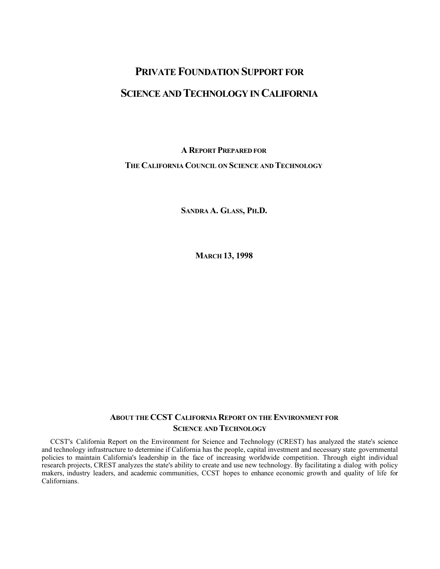# **PRIVATE FOUNDATION SUPPORT FOR SCIENCE AND TECHNOLOGY IN CALIFORNIA**

**A REPORT PREPARED FOR THE CALIFORNIA COUNCIL ON SCIENCE AND TECHNOLOGY**

**SANDRA A. GLASS, PH.D.**

**MARCH 13, 1998**

# **ABOUT THE CCST CALIFORNIA REPORT ON THE ENVIRONMENT FOR SCIENCE AND TECHNOLOGY**

CCST's California Report on the Environment for Science and Technology (CREST) has analyzed the state's science and technology infrastructure to determine if California has the people, capital investment and necessary state governmental policies to maintain California's leadership in the face of increasing worldwide competition. Through eight individual research projects, CREST analyzes the state's ability to create and use new technology. By facilitating a dialog with policy makers, industry leaders, and academic communities, CCST hopes to enhance economic growth and quality of life for Californians.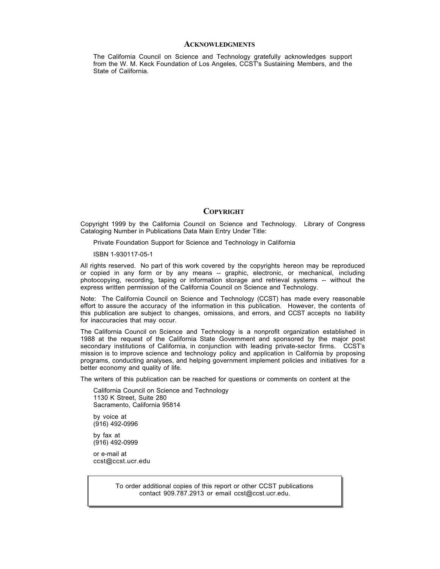#### **ACKNOWLEDGMENTS**

The California Council on Science and Technology gratefully acknowledges support from the W. M. Keck Foundation of Los Angeles, CCST's Sustaining Members, and the State of California.

#### **COPYRIGHT**

Copyright 1999 by the California Council on Science and Technology. Library of Congress Cataloging Number in Publications Data Main Entry Under Title:

Private Foundation Support for Science and Technology in California

ISBN 1-930117-05-1

All rights reserved. No part of this work covered by the copyrights hereon may be reproduced or copied in any form or by any means -- graphic, electronic, or mechanical, including photocopying, recording, taping or information storage and retrieval systems -- without the express written permission of the California Council on Science and Technology.

Note: The California Council on Science and Technology (CCST) has made every reasonable effort to assure the accuracy of the information in this publication. However, the contents of this publication are subject to changes, omissions, and errors, and CCST accepts no liability for inaccuracies that may occur.

The California Council on Science and Technology is a nonprofit organization established in 1988 at the request of the California State Government and sponsored by the major post secondary institutions of California, in conjunction with leading private-sector firms. CCST's mission is to improve science and technology policy and application in California by proposing programs, conducting analyses, and helping government implement policies and initiatives for a better economy and quality of life.

The writers of this publication can be reached for questions or comments on content at the

California Council on Science and Technology 1130 K Street, Suite 280 Sacramento, California 95814

by voice at (916) 492-0996 by fax at (916) 492-0999

or e-mail at ccst@ccst.ucr.edu

> To order additional copies of this report or other CCST publications contact 909.787.2913 or email ccst@ccst.ucr.edu.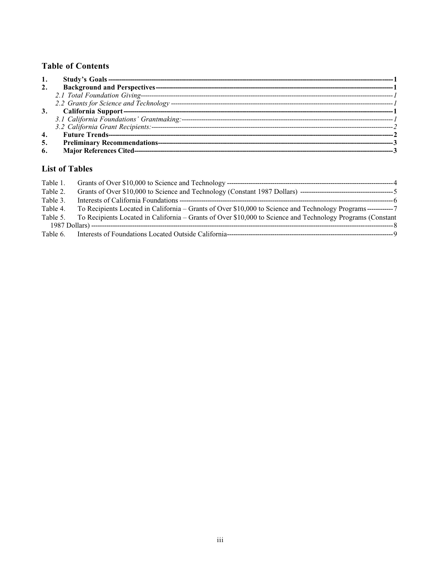# **Table of Contents**

| 3. |  |
|----|--|
|    |  |
|    |  |
| 4. |  |
| 5. |  |
| 6. |  |

# **List of Tables**

| Table 1. |                                                                                                                |  |
|----------|----------------------------------------------------------------------------------------------------------------|--|
| Table 2. |                                                                                                                |  |
| Table 3. |                                                                                                                |  |
| Table 4. | To Recipients Located in California – Grants of Over \$10,000 to Science and Technology Programs ------------- |  |
| Table 5. | To Recipients Located in California – Grants of Over \$10,000 to Science and Technology Programs (Constant     |  |
|          |                                                                                                                |  |
| Table 6. |                                                                                                                |  |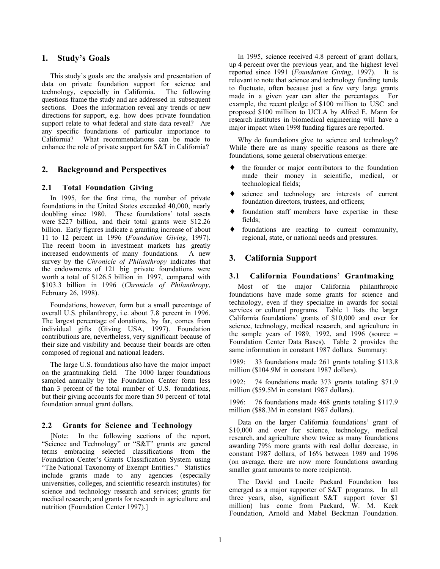#### **1. Study's Goals**

This study's goals are the analysis and presentation of data on private foundation support for science and technology, especially in California. The following questions frame the study and are addressed in subsequent sections. Does the information reveal any trends or new directions for support, e.g. how does private foundation support relate to what federal and state data reveal? Are any specific foundations of particular importance to California? What recommendations can be made to enhance the role of private support for S&T in California?

#### **2. Background and Perspectives**

#### **2.1 Total Foundation Giving**

In 1995, for the first time, the number of private foundations in the United States exceeded 40,000, nearly doubling since 1980. These foundations' total assets were \$227 billion, and their total grants were \$12.26 billion. Early figures indicate a granting increase of about 11 to 12 percent in 1996 (*Foundation Giving*, 1997). The recent boom in investment markets has greatly increased endowments of many foundations. A new survey by the *Chronicle of Philanthropy* indicates that the endowments of 121 big private foundations were worth a total of \$126.5 billion in 1997, compared with \$103.3 billion in 1996 (*Chronicle of Philanthropy*, February 26, 1998).

Foundations, however, form but a small percentage of overall U.S. philanthropy, i.e. about 7.8 percent in 1996. The largest percentage of donations, by far, comes from individual gifts (Giving USA, 1997). Foundation contributions are, nevertheless, very significant because of their size and visibility and because their boards are often composed of regional and national leaders.

The large U.S. foundations also have the major impact on the grantmaking field. The 1000 larger foundations sampled annually by the Foundation Center form less than 3 percent of the total number of U.S. foundations, but their giving accounts for more than 50 percent of total foundation annual grant dollars.

#### **2.2 Grants for Science and Technology**

[Note: In the following sections of the report, "Science and Technology" or "S&T" grants are general terms embracing selected classifications from the Foundation Center's Grants Classification System using "The National Taxonomy of Exempt Entities." Statistics include grants made to any agencies (especially universities, colleges, and scientific research institutes) for science and technology research and services; grants for medical research; and grants for research in agriculture and nutrition (Foundation Center 1997).]

In 1995, science received 4.8 percent of grant dollars, up 4 percent over the previous year, and the highest level reported since 1991 (*Foundation Giving*, 1997). It is relevant to note that science and technology funding tends to fluctuate, often because just a few very large grants made in a given year can alter the percentages. For example, the recent pledge of \$100 million to USC and proposed \$100 million to UCLA by Alfred E. Mann for research institutes in biomedical engineering will have a major impact when 1998 funding figures are reported.

Why do foundations give to science and technology? While there are as many specific reasons as there are foundations, some general observations emerge:

- ♦ the founder or major contributors to the foundation made their money in scientific, medical, or technological fields;
- ♦ science and technology are interests of current foundation directors, trustees, and officers;
- foundation staff members have expertise in these fields;
- ♦ foundations are reacting to current community, regional, state, or national needs and pressures.

#### **3. California Support**

#### **3.1 California Foundations' Grantmaking**

Most of the major California philanthropic foundations have made some grants for science and technology, even if they specialize in awards for social services or cultural programs. Table 1 lists the larger California foundations' grants of \$10,000 and over for science, technology, medical research, and agriculture in the sample years of 1989, 1992, and 1996 (source  $=$ Foundation Center Data Bases). Table 2 provides the same information in constant 1987 dollars. Summary:

1989: 33 foundations made 261 grants totaling \$113.8 million (\$104.9M in constant 1987 dollars).

1992: 74 foundations made 373 grants totaling \$71.9 million (\$59.5M in constant 1987 dollars).

1996: 76 foundations made 468 grants totaling \$117.9 million (\$88.3M in constant 1987 dollars).

Data on the larger California foundations' grant of \$10,000 and over for science, technology, medical research, and agriculture show twice as many foundations awarding 79% more grants with real dollar decrease, in constant 1987 dollars, of 16% between 1989 and 1996 (on average, there are now more foundations awarding smaller grant amounts to more recipients).

The David and Lucile Packard Foundation has emerged as a major supporter of S&T programs. In all three years, also, significant S&T support (over \$1 million) has come from Packard, W. M. Keck Foundation, Arnold and Mabel Beckman Foundation.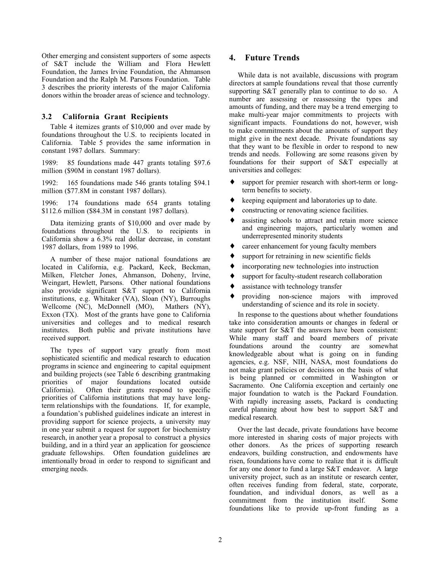Other emerging and consistent supporters of some aspects of S&T include the William and Flora Hewlett Foundation, the James Irvine Foundation, the Ahmanson Foundation and the Ralph M. Parsons Foundation. Table 3 describes the priority interests of the major California donors within the broader areas of science and technology.

### **3.2 California Grant Recipients**

Table 4 itemizes grants of \$10,000 and over made by foundations throughout the U.S. to recipients located in California. Table 5 provides the same information in constant 1987 dollars. Summary:

1989: 85 foundations made 447 grants totaling \$97.6 million (\$90M in constant 1987 dollars).

1992: 165 foundations made 546 grants totaling \$94.1 million (\$77.8M in constant 1987 dollars).

1996: 174 foundations made 654 grants totaling \$112.6 million (\$84.3M in constant 1987 dollars).

Data itemizing grants of \$10,000 and over made by foundations throughout the U.S. to recipients in California show a 6.3% real dollar decrease, in constant 1987 dollars, from 1989 to 1996.

A number of these major national foundations are located in California, e.g. Packard, Keck, Beckman, Milken, Fletcher Jones, Ahmanson, Doheny, Irvine, Weingart, Hewlett, Parsons. Other national foundations also provide significant S&T support to California institutions, e.g. Whitaker (VA), Sloan (NY), Burroughs Wellcome (NC), McDonnell (MO), Mathers (NY), Exxon (TX). Most of the grants have gone to California universities and colleges and to medical research institutes. Both public and private institutions have received support.

The types of support vary greatly from most sophisticated scientific and medical research to education programs in science and engineering to capital equipment and building projects (see Table 6 describing grantmaking priorities of major foundations located outside California). Often their grants respond to specific priorities of California institutions that may have longterm relationships with the foundations. If, for example, a foundation's published guidelines indicate an interest in providing support for science projects, a university may in one year submit a request for support for biochemistry research, in another year a proposal to construct a physics building, and in a third year an application for geoscience graduate fellowships. Often foundation guidelines are intentionally broad in order to respond to significant and emerging needs.

## **4. Future Trends**

While data is not available, discussions with program directors at sample foundations reveal that those currently supporting S&T generally plan to continue to do so. A number are assessing or reassessing the types and amounts of funding, and there may be a trend emerging to make multi-year major commitments to projects with significant impacts. Foundations do not, however, wish to make commitments about the amounts of support they might give in the next decade. Private foundations say that they want to be flexible in order to respond to new trends and needs. Following are some reasons given by foundations for their support of S&T especially at universities and colleges:

- ♦ support for premier research with short-term or longterm benefits to society.
- ♦ keeping equipment and laboratories up to date.
- constructing or renovating science facilities.
- assisting schools to attract and retain more science and engineering majors, particularly women and underrepresented minority students
- ♦ career enhancement for young faculty members
- ♦ support for retraining in new scientific fields
- ♦ incorporating new technologies into instruction
- ♦ support for faculty-student research collaboration
- ♦ assistance with technology transfer
- providing non-science majors with improved understanding of science and its role in society.

In response to the questions about whether foundations take into consideration amounts or changes in federal or state support for S&T the answers have been consistent: While many staff and board members of private foundations around the country are somewhat knowledgeable about what is going on in funding agencies, e.g. NSF, NIH, NASA, most foundations do not make grant policies or decisions on the basis of what is being planned or committed in Washington or Sacramento. One California exception and certainly one major foundation to watch is the Packard Foundation. With rapidly increasing assets, Packard is conducting careful planning about how best to support S&T and medical research.

Over the last decade, private foundations have become more interested in sharing costs of major projects with other donors. As the prices of supporting research endeavors, building construction, and endowments have risen, foundations have come to realize that it is difficult for any one donor to fund a large S&T endeavor. A large university project, such as an institute or research center, often receives funding from federal, state, corporate, foundation, and individual donors, as well as a commitment from the institution itself. Some foundations like to provide up-front funding as a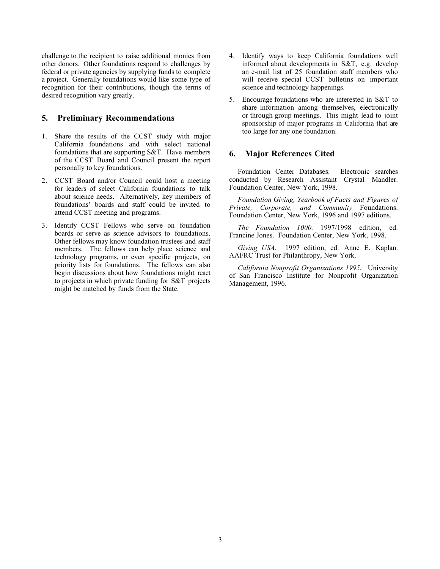challenge to the recipient to raise additional monies from other donors. Other foundations respond to challenges by federal or private agencies by supplying funds to complete a project. Generally foundations would like some type of recognition for their contributions, though the terms of desired recognition vary greatly.

## **5. Preliminary Recommendations**

- 1. Share the results of the CCST study with major California foundations and with select national foundations that are supporting S&T. Have members of the CCST Board and Council present the report personally to key foundations.
- 2. CCST Board and/or Council could host a meeting for leaders of select California foundations to talk about science needs. Alternatively, key members of foundations' boards and staff could be invited to attend CCST meeting and programs.
- 3. Identify CCST Fellows who serve on foundation boards or serve as science advisors to foundations. Other fellows may know foundation trustees and staff members. The fellows can help place science and technology programs, or even specific projects, on priority lists for foundations. The fellows can also begin discussions about how foundations might react to projects in which private funding for S&T projects might be matched by funds from the State.
- 4. Identify ways to keep California foundations well informed about developments in S&T, e.g. develop an e-mail list of 25 foundation staff members who will receive special CCST bulletins on important science and technology happenings.
- 5. Encourage foundations who are interested in S&T to share information among themselves, electronically or through group meetings. This might lead to joint sponsorship of major programs in California that are too large for any one foundation.

## **6. Major References Cited**

Foundation Center Databases. Electronic searches conducted by Research Assistant Crystal Mandler. Foundation Center, New York, 1998.

*Foundation Giving, Yearbook of Facts and Figures of Private, Corporate, and Community* Foundations. Foundation Center, New York, 1996 and 1997 editions.

*The Foundation 1000.* 1997/1998 edition, ed. Francine Jones. Foundation Center, New York, 1998.

*Giving USA.* 1997 edition, ed. Anne E. Kaplan. AAFRC Trust for Philanthropy, New York.

*California Nonprofit Organizations 1995.* University of San Francisco Institute for Nonprofit Organization Management, 1996.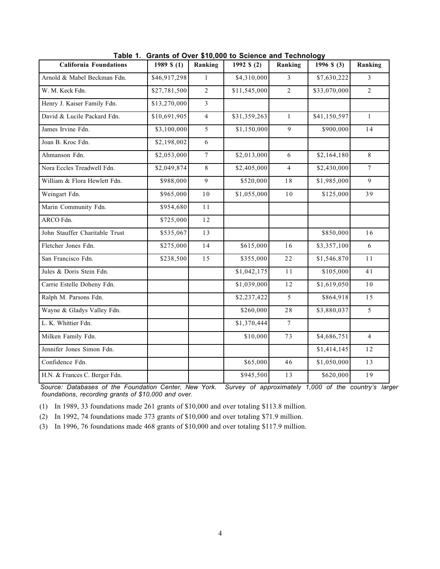| <b>California Foundations</b>  | 1989 \$ $(1)$ | Ranking        | 1992 $$ (2)$ | Ranking        | 1996 $$ (3)$ | Ranking        |
|--------------------------------|---------------|----------------|--------------|----------------|--------------|----------------|
| Arnold & Mabel Beckman Fdn.    | \$46,917,298  | $\mathbf{1}$   | \$4,310,000  | $\overline{3}$ | \$7,630,222  | $\overline{3}$ |
| W. M. Keck Fdn.                | \$27,781,500  | $\overline{2}$ | \$11,545,000 | $\overline{2}$ | \$33,070,000 | $\overline{2}$ |
| Henry J. Kaiser Family Fdn.    | \$13,270,000  | $\overline{3}$ |              |                |              |                |
| David & Lucile Packard Fdn.    | \$10,691,905  | $\overline{4}$ | \$31,359,263 | $\mathbf{1}$   | \$41,150,597 | $\mathbf{1}$   |
| James Irvine Fdn.              | \$3,100,000   | 5              | \$1,150,000  | $\overline{9}$ | \$900,000    | 14             |
| Joan B. Kroc Fdn.              | \$2,198,002   | 6              |              |                |              |                |
| Ahmanson Fdn.                  | \$2,053,000   | $\overline{7}$ | \$2,013,000  | 6              | \$2,164,180  | $\,8\,$        |
| Nora Eccles Treadwell Fdn.     | \$2,049,874   | $\,8\,$        | \$2,405,000  | $\overline{4}$ | \$2,430,000  | $\tau$         |
| William & Flora Hewlett Fdn.   | \$988,000     | 9              | \$520,000    | 18             | \$1,985,000  | 9              |
| Weingart Fdn.                  | \$965,000     | $1\,0$         | \$1,055,000  | 10             | \$125,000    | 39             |
| Marin Community Fdn.           | \$954,680     | $1\,1$         |              |                |              |                |
| ARCO Fdn.                      | \$725,000     | 12             |              |                |              |                |
| John Stauffer Charitable Trust | \$535,067     | 13             |              |                | \$850,000    | 16             |
| Fletcher Jones Fdn.            | \$275,000     | 14             | \$615,000    | 16             | \$3,357,100  | 6              |
| San Francisco Fdn.             | \$238,500     | 15             | \$355,000    | 22             | \$1,546,870  | 11             |
| Jules & Doris Stein Fdn.       |               |                | \$1,042,175  | 11             | \$105,000    | 41             |
| Carrie Estelle Doheny Fdn.     |               |                | \$1,039,000  | 12             | \$1,619,050  | 10             |
| Ralph M. Parsons Fdn.          |               |                | \$2,237,422  | 5              | \$864,918    | 15             |
| Wayne & Gladys Valley Fdn.     |               |                | \$260,000    | 28             | \$3,880,037  | 5              |
| L. K. Whittier Fdn.            |               |                | \$1,370,444  | $\overline{7}$ |              |                |
| Milken Family Fdn.             |               |                | \$10,000     | 73             | \$4,686,751  | $\overline{4}$ |
| Jennifer Jones Simon Fdn.      |               |                |              |                | \$1,414,145  | 12             |
| Confidence Fdn.                |               |                | \$65,000     | 46             | \$1,050,000  | 13             |
| H.N. & Frances C. Berger Fdn.  |               |                | \$945,500    | 13             | \$620,000    | 19             |

**Table 1. Grants of Over \$10,000 to Science and Technology**

*Source: Databases of the Foundation Center, New York. Survey of approximately 1,000 of the country's larger foundations, recording grants of \$10,000 and over.*

(1) In 1989, 33 foundations made 261 grants of \$10,000 and over totaling \$113.8 million.

(2) In 1992, 74 foundations made 373 grants of \$10,000 and over totaling \$71.9 million.

(3) In 1996, 76 foundations made 468 grants of \$10,000 and over totaling \$117.9 million.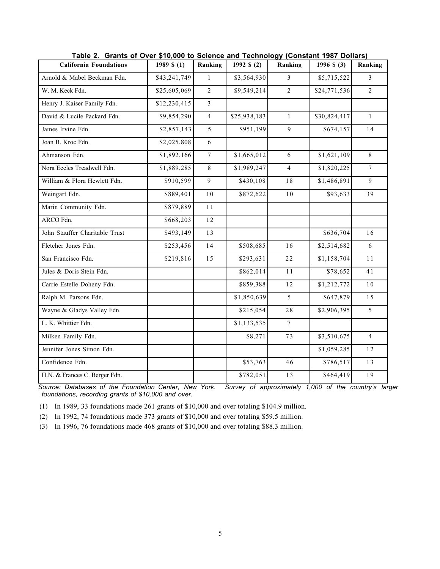| <b>California Foundations</b>  | 1989 $$(1)$  | Ranking        | 1992 \$ (2)  | Ranking         | 1996 $$ (3)$ | Ranking        |
|--------------------------------|--------------|----------------|--------------|-----------------|--------------|----------------|
| Arnold & Mabel Beckman Fdn.    | \$43,241,749 | $\mathbf{1}$   | \$3,564,930  | 3               | \$5,715,522  | 3              |
| W. M. Keck Fdn.                | \$25,605,069 | 2              | \$9,549,214  | $\overline{2}$  | \$24,771,536 | $\overline{2}$ |
| Henry J. Kaiser Family Fdn.    | \$12,230,415 | $\mathfrak{Z}$ |              |                 |              |                |
| David & Lucile Packard Fdn.    | \$9,854,290  | $\overline{4}$ | \$25,938,183 | $\mathbf{1}$    | \$30,824,417 | $\mathbf{1}$   |
| James Irvine Fdn.              | \$2,857,143  | 5              | \$951,199    | $\overline{9}$  | \$674,157    | 14             |
| Joan B. Kroc Fdn.              | \$2,025,808  | $\sqrt{6}$     |              |                 |              |                |
| Ahmanson Fdn.                  | \$1,892,166  | $\overline{7}$ | \$1,665,012  | $\sqrt{6}$      | \$1,621,109  | 8              |
| Nora Eccles Treadwell Fdn.     | \$1,889,285  | $\,8\,$        | \$1,989,247  | $\overline{4}$  | \$1,820,225  | $\tau$         |
| William & Flora Hewlett Fdn.   | \$910,599    | $\overline{9}$ | \$430,108    | $1\,8$          | \$1,486,891  | 9              |
| Weingart Fdn.                  | \$889,401    | $1\,0$         | \$872,622    | $10$            | \$93,633     | 39             |
| Marin Community Fdn.           | \$879,889    | $1\,1$         |              |                 |              |                |
| ARCO Fdn.                      | \$668,203    | 12             |              |                 |              |                |
| John Stauffer Charitable Trust | \$493,149    | 13             |              |                 | \$636,704    | 16             |
| Fletcher Jones Fdn.            | \$253,456    | $14$           | \$508,685    | 16              | \$2,514,682  | 6              |
| San Francisco Fdn.             | \$219,816    | 15             | \$293,631    | 22              | \$1,158,704  | 11             |
| Jules & Doris Stein Fdn.       |              |                | \$862,014    | $1\,1$          | \$78,652     | 41             |
| Carrie Estelle Doheny Fdn.     |              |                | \$859,388    | 12              | \$1,212,772  | 10             |
| Ralph M. Parsons Fdn.          |              |                | \$1,850,639  | 5               | \$647,879    | 15             |
| Wayne & Gladys Valley Fdn.     |              |                | \$215,054    | 28              | \$2,906,395  | 5              |
| L. K. Whittier Fdn.            |              |                | \$1,133,535  | $7\overline{ }$ |              |                |
| Milken Family Fdn.             |              |                | \$8,271      | 73              | \$3,510,675  | $\overline{4}$ |
| Jennifer Jones Simon Fdn.      |              |                |              |                 | \$1,059,285  | 12             |
| Confidence Fdn.                |              |                | \$53,763     | 46              | \$786,517    | 13             |
| H.N. & Frances C. Berger Fdn.  |              |                | \$782,051    | $13$            | \$464,419    | 19             |

**Table 2. Grants of Over \$10,000 to Science and Technology (Constant 1987 Dollars)**

*Source: Databases of the Foundation Center, New York. Survey of approximately 1,000 of the country's larger foundations, recording grants of \$10,000 and over.*

(1) In 1989, 33 foundations made 261 grants of \$10,000 and over totaling \$104.9 million.

(2) In 1992, 74 foundations made 373 grants of \$10,000 and over totaling \$59.5 million.

(3) In 1996, 76 foundations made 468 grants of \$10,000 and over totaling \$88.3 million.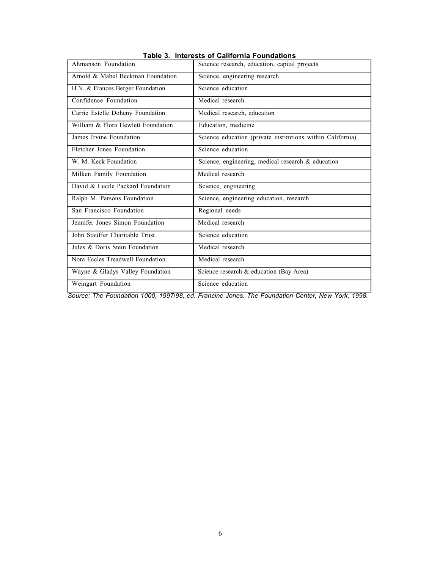| Ahmanson Foundation                | Science research, education, capital projects              |
|------------------------------------|------------------------------------------------------------|
| Arnold & Mabel Beckman Foundation  | Science, engineering research                              |
| H.N. & Frances Berger Foundation   | Science education                                          |
| Confidence Foundation              | Medical research                                           |
| Carrie Estelle Doheny Foundation   | Medical research, education                                |
| William & Flora Hewlett Foundation | Education, medicine                                        |
| James Irvine Foundation            | Science education (private institutions within California) |
| Fletcher Jones Foundation          | Science education                                          |
| W. M. Keck Foundation              | Science, engineering, medical research & education         |
| Milken Family Foundation           | Medical research                                           |
| David & Lucile Packard Foundation  | Science, engineering                                       |
| Ralph M. Parsons Foundation        | Science, engineering education, research                   |
| San Francisco Foundation           | Regional needs                                             |
| Jennifer Jones Simon Foundation    | Medical research                                           |
| John Stauffer Charitable Trust     | Science education                                          |
| Jules & Doris Stein Foundation     | Medical research                                           |
| Nora Eccles Treadwell Foundation   | Medical research                                           |
| Wayne & Gladys Valley Foundation   | Science research & education (Bay Area)                    |
| Weingart Foundation                | Science education                                          |

**Table 3. Interests of California Foundations**

*Source: The Foundation 1000, 1997/98, ed. Francine Jones. The Foundation Center, New York, 1998.*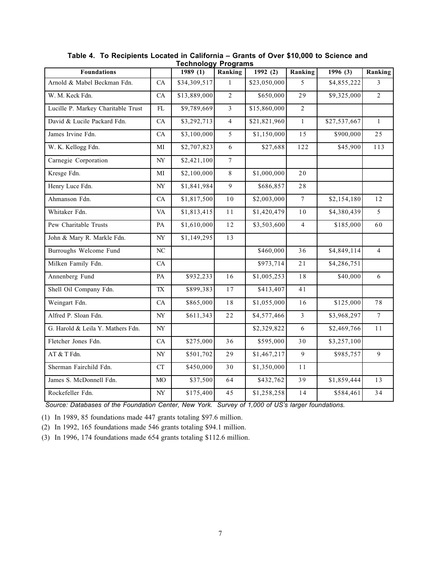|                                    |                          | טטוטוויטט    | . . ogramo     |              |                |              |                 |
|------------------------------------|--------------------------|--------------|----------------|--------------|----------------|--------------|-----------------|
| <b>Foundations</b>                 |                          | 1989(1)      | Ranking        | 1992(2)      | Ranking        | 1996(3)      | Ranking         |
| Arnold & Mabel Beckman Fdn.        | CA                       | \$34,309,517 | $\mathbf{1}$   | \$23,050,000 | 5              | \$4,855,222  | $\overline{3}$  |
| W. M. Keck Fdn.                    | CA                       | \$13,889,000 | $\overline{2}$ | \$650,000    | 29             | \$9,325,000  | $\overline{2}$  |
| Lucille P. Markey Charitable Trust | FL                       | \$9,789,669  | $\overline{3}$ | \$15,860,000 | $\overline{2}$ |              |                 |
| David & Lucile Packard Fdn.        | CA                       | \$3,292,713  | $\overline{4}$ | \$21,821,960 | $\mathbf{1}$   | \$27,537,667 | $\mathbf{1}$    |
| James Irvine Fdn.                  | ${\rm CA}$               | \$3,100,000  | 5              | \$1,150,000  | 15             | \$900,000    | 25              |
| W. K. Kellogg Fdn.                 | MI                       | \$2,707,823  | 6              | \$27,688     | 122            | \$45,900     | 113             |
| Carnegie Corporation               | NY                       | \$2,421,100  | $\overline{7}$ |              |                |              |                 |
| Kresge Fdn.                        | МI                       | \$2,100,000  | $8\,$          | \$1,000,000  | 20             |              |                 |
| Henry Luce Fdn.                    | NY                       | \$1,841,984  | $\overline{9}$ | \$686,857    | 28             |              |                 |
| Ahmanson Fdn.                      | CA                       | \$1,817,500  | $1\,0$         | \$2,003,000  | $\overline{7}$ | \$2,154,180  | 12              |
| Whitaker Fdn.                      | <b>VA</b>                | \$1,813,415  | $1\,1$         | \$1,420,479  | $1\,0$         | \$4,380,439  | 5               |
| Pew Charitable Trusts              | PA                       | \$1,610,000  | 12             | \$3,503,600  | $\overline{4}$ | \$185,000    | 60              |
| John & Mary R. Markle Fdn.         | $\ensuremath{\text{NY}}$ | \$1,149,295  | 13             |              |                |              |                 |
| Burroughs Welcome Fund             | $\rm NC$                 |              |                | \$460,000    | 36             | \$4,849,114  | $\overline{4}$  |
| Milken Family Fdn.                 | CA                       |              |                | \$973,714    | 21             | \$4,286,751  |                 |
| Annenberg Fund                     | PA                       | \$932,233    | $16$           | \$1,005,253  | $1\,8$         | \$40,000     | $\sqrt{6}$      |
| Shell Oil Company Fdn.             | TX                       | \$899,383    | 17             | \$413,407    | 41             |              |                 |
| Weingart Fdn.                      | CA                       | \$865,000    | $1\,8$         | \$1,055,000  | 16             | \$125,000    | 78              |
| Alfred P. Sloan Fdn.               | NY                       | \$611,343    | 22             | \$4,577,466  | $\overline{3}$ | \$3,968,297  | $7\phantom{.0}$ |
| G. Harold & Leila Y. Mathers Fdn.  | $\ensuremath{\text{NY}}$ |              |                | \$2,329,822  | 6              | \$2,469,766  | $1\,1$          |
| Fletcher Jones Fdn.                | CA                       | \$275,000    | 36             | \$595,000    | 30             | \$3,257,100  |                 |
| AT & T Fdn.                        | $\ensuremath{\text{NY}}$ | \$501,702    | 29             | \$1,467,217  | 9              | \$985,757    | 9               |
| Sherman Fairchild Fdn.             | ${\cal C}{\cal T}$       | \$450,000    | 30             | \$1,350,000  | $1\,1$         |              |                 |
| James S. McDonnell Fdn.            | MO                       | \$37,500     | 64             | \$432,762    | 39             | \$1,859,444  | 13              |
| Rockefeller Fdn.                   | NY                       | \$175,400    | 45             | \$1,258,258  | $14$           | \$584,461    | 34              |

**Table 4. To Recipients Located in California – Grants of Over \$10,000 to Science and Technology Programs**

*Source: Databases of the Foundation Center, New York. Survey of 1,000 of US's larger foundations.*

(1) In 1989, 85 foundations made 447 grants totaling \$97.6 million.

(2) In 1992, 165 foundations made 546 grants totaling \$94.1 million.

(3) In 1996, 174 foundations made 654 grants totaling \$112.6 million.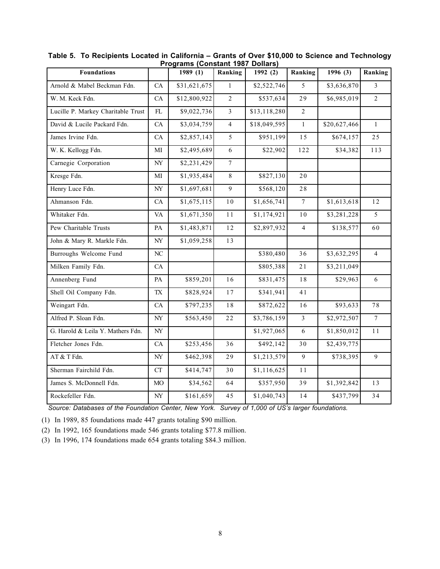|                                    |                                                  | r ivyrains (vviistailt 1907 |                 | <b>DUIIAI S</b> |                |              |                |
|------------------------------------|--------------------------------------------------|-----------------------------|-----------------|-----------------|----------------|--------------|----------------|
| <b>Foundations</b>                 |                                                  | 1989(1)                     | Ranking         | 1992(2)         | Ranking        | 1996(3)      | Ranking        |
| Arnold & Mabel Beckman Fdn.        | ${\rm CA}$                                       | \$31,621,675                | $\mathbf{1}$    | \$2,522,746     | 5              | \$3,636,870  | 3              |
| W. M. Keck Fdn.                    | CA                                               | \$12,800,922                | $\overline{2}$  | \$537,634       | 29             | \$6,985,019  | $\overline{2}$ |
| Lucille P. Markey Charitable Trust | $\mathop{\rm FL}\nolimits$                       | \$9,022,736                 | $\overline{3}$  | \$13,118,280    | $\overline{2}$ |              |                |
| David & Lucile Packard Fdn.        | CA                                               | \$3,034,759                 | $\overline{4}$  | \$18,049,595    | $\mathbf{1}$   | \$20,627,466 | $\mathbf{1}$   |
| James Irvine Fdn.                  | CA                                               | \$2,857,143                 | 5               | \$951,199       | 15             | \$674,157    | 25             |
| W. K. Kellogg Fdn.                 | MI                                               | \$2,495,689                 | $\sqrt{6}$      | \$22,902        | 122            | \$34,382     | 113            |
| Carnegie Corporation               | $\ensuremath{\text{NY}}$                         | \$2,231,429                 | $7\overline{ }$ |                 |                |              |                |
| Kresge Fdn.                        | MI                                               | \$1,935,484                 | 8               | \$827,130       | 20             |              |                |
| Henry Luce Fdn.                    | $\ensuremath{\text{NY}}$                         | \$1,697,681                 | 9               | \$568,120       | 28             |              |                |
| Ahmanson Fdn.                      | ${\rm CA}$                                       | \$1,675,115                 | $1\,0$          | \$1,656,741     | $\overline{7}$ | \$1,613,618  | $12$           |
| Whitaker Fdn.                      | <b>VA</b>                                        | \$1,671,350                 | $1\,1$          | \$1,174,921     | $10$           | \$3,281,228  | 5              |
| Pew Charitable Trusts              | PA                                               | \$1,483,871                 | 12              | \$2,897,932     | $\overline{4}$ | \$138,577    | 60             |
| John & Mary R. Markle Fdn.         | $\ensuremath{\text{NY}}$                         | \$1,059,258                 | 13              |                 |                |              |                |
| Burroughs Welcome Fund             | $\rm NC$                                         |                             |                 | \$380,480       | 36             | \$3,632,295  | $\overline{4}$ |
| Milken Family Fdn.                 | ${\rm CA}$                                       |                             |                 | \$805,388       | $2\,1$         | \$3,211,049  |                |
| Annenberg Fund                     | $\mathbf{PA}$                                    | \$859,201                   | 16              | \$831,475       | $1\,8$         | \$29,963     | 6              |
| Shell Oil Company Fdn.             | $\ensuremath{\mathsf{T}}\ensuremath{\mathsf{X}}$ | \$828,924                   | $17\,$          | \$341,941       | 41             |              |                |
| Weingart Fdn.                      | CA                                               | \$797,235                   | $1\,8$          | \$872,622       | 16             | \$93,633     | 78             |
| Alfred P. Sloan Fdn.               | $\ensuremath{\text{NY}}$                         | \$563,450                   | $2\,2$          | \$3,786,159     | $\overline{3}$ | \$2,972,507  | $\tau$         |
| G. Harold & Leila Y. Mathers Fdn.  | $\ensuremath{\text{NY}}$                         |                             |                 | \$1,927,065     | 6              | \$1,850,012  | $1\,1$         |
| Fletcher Jones Fdn.                | CA                                               | \$253,456                   | 36              | \$492,142       | $3\,0$         | \$2,439,775  |                |
| AT & T Fdn.                        | $\ensuremath{\text{NY}}$                         | \$462,398                   | 29              | \$1,213,579     | 9              | \$738,395    | 9              |
| Sherman Fairchild Fdn.             | ${\cal C}{\cal T}$                               | \$414,747                   | 30              | \$1,116,625     | $1\,1$         |              |                |
| James S. McDonnell Fdn.            | MO                                               | \$34,562                    | 64              | \$357,950       | 39             | \$1,392,842  | 13             |
| Rockefeller Fdn.                   | $\ensuremath{\text{NY}}$                         | \$161,659                   | 45              | \$1,040,743     | 14             | \$437,799    | 34             |

**Table 5. To Recipients Located in California – Grants of Over \$10,000 to Science and Technology Programs (Constant 1987 Dollars)**

*Source: Databases of the Foundation Center, New York. Survey of 1,000 of US's larger foundations.*

(1) In 1989, 85 foundations made 447 grants totaling \$90 million.

(2) In 1992, 165 foundations made 546 grants totaling \$77.8 million.

(3) In 1996, 174 foundations made 654 grants totaling \$84.3 million.